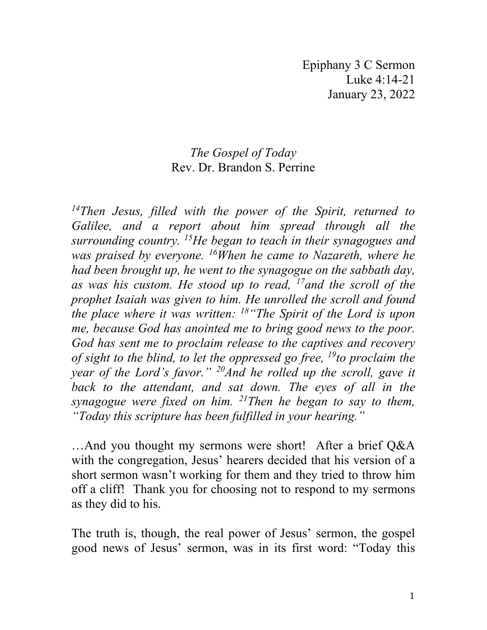Epiphany 3 C Sermon Luke 4:14-21 January 23, 2022

## *The Gospel of Today* Rev. Dr. Brandon S. Perrine

*14Then Jesus, filled with the power of the Spirit, returned to Galilee, and a report about him spread through all the surrounding country. 15He began to teach in their synagogues and was praised by everyone. 16When he came to Nazareth, where he had been brought up, he went to the synagogue on the sabbath day, as was his custom. He stood up to read, 17and the scroll of the prophet Isaiah was given to him. He unrolled the scroll and found the place where it was written: 18"The Spirit of the Lord is upon me, because God has anointed me to bring good news to the poor. God has sent me to proclaim release to the captives and recovery of sight to the blind, to let the oppressed go free, 19to proclaim the year of the Lord's favor." 20And he rolled up the scroll, gave it*  back to the attendant, and sat down. The eyes of all in the *synagogue were fixed on him. 21Then he began to say to them, "Today this scripture has been fulfilled in your hearing."*

…And you thought my sermons were short! After a brief Q&A with the congregation, Jesus' hearers decided that his version of a short sermon wasn't working for them and they tried to throw him off a cliff! Thank you for choosing not to respond to my sermons as they did to his.

The truth is, though, the real power of Jesus' sermon, the gospel good news of Jesus' sermon, was in its first word: "Today this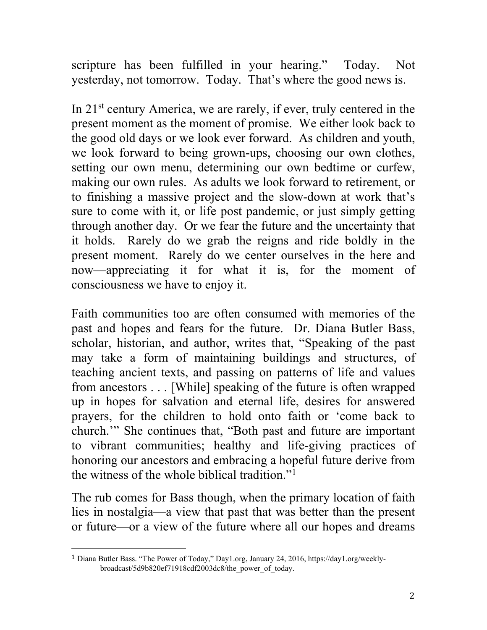scripture has been fulfilled in your hearing." Today. Not yesterday, not tomorrow. Today. That's where the good news is.

In  $21<sup>st</sup>$  century America, we are rarely, if ever, truly centered in the present moment as the moment of promise. We either look back to the good old days or we look ever forward. As children and youth, we look forward to being grown-ups, choosing our own clothes, setting our own menu, determining our own bedtime or curfew, making our own rules. As adults we look forward to retirement, or to finishing a massive project and the slow-down at work that's sure to come with it, or life post pandemic, or just simply getting through another day. Or we fear the future and the uncertainty that it holds. Rarely do we grab the reigns and ride boldly in the present moment. Rarely do we center ourselves in the here and now—appreciating it for what it is, for the moment of consciousness we have to enjoy it.

Faith communities too are often consumed with memories of the past and hopes and fears for the future. Dr. Diana Butler Bass, scholar, historian, and author, writes that, "Speaking of the past may take a form of maintaining buildings and structures, of teaching ancient texts, and passing on patterns of life and values from ancestors . . . [While] speaking of the future is often wrapped up in hopes for salvation and eternal life, desires for answered prayers, for the children to hold onto faith or 'come back to church.'" She continues that, "Both past and future are important to vibrant communities; healthy and life-giving practices of honoring our ancestors and embracing a hopeful future derive from the witness of the whole biblical tradition."[1](#page-1-0)

The rub comes for Bass though, when the primary location of faith lies in nostalgia—a view that past that was better than the present or future—or a view of the future where all our hopes and dreams

<span id="page-1-0"></span><sup>1</sup> Diana Butler Bass. "The Power of Today," Day1.org, January 24, 2016, [https://day1.org/weekly](https://day1.org/weekly-)broadcast/5d9b820ef71918cdf2003dc8/the\_power\_of\_today.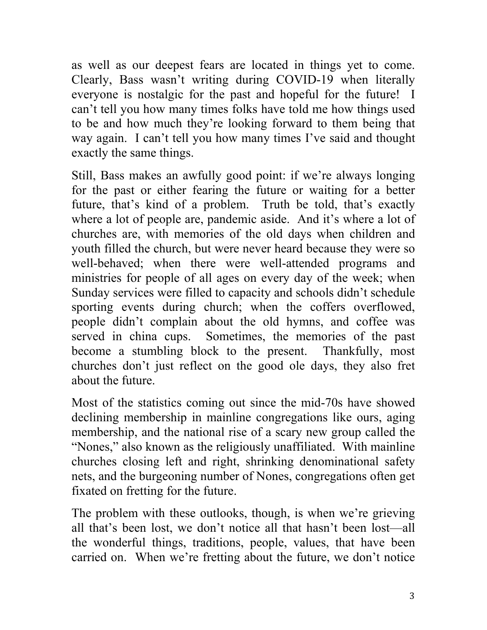as well as our deepest fears are located in things yet to come. Clearly, Bass wasn't writing during COVID-19 when literally everyone is nostalgic for the past and hopeful for the future! I can't tell you how many times folks have told me how things used to be and how much they're looking forward to them being that way again. I can't tell you how many times I've said and thought exactly the same things.

Still, Bass makes an awfully good point: if we're always longing for the past or either fearing the future or waiting for a better future, that's kind of a problem. Truth be told, that's exactly where a lot of people are, pandemic aside. And it's where a lot of churches are, with memories of the old days when children and youth filled the church, but were never heard because they were so well-behaved; when there were well-attended programs and ministries for people of all ages on every day of the week; when Sunday services were filled to capacity and schools didn't schedule sporting events during church; when the coffers overflowed, people didn't complain about the old hymns, and coffee was served in china cups. Sometimes, the memories of the past become a stumbling block to the present. Thankfully, most churches don't just reflect on the good ole days, they also fret about the future.

Most of the statistics coming out since the mid-70s have showed declining membership in mainline congregations like ours, aging membership, and the national rise of a scary new group called the "Nones," also known as the religiously unaffiliated. With mainline churches closing left and right, shrinking denominational safety nets, and the burgeoning number of Nones, congregations often get fixated on fretting for the future.

The problem with these outlooks, though, is when we're grieving all that's been lost, we don't notice all that hasn't been lost—all the wonderful things, traditions, people, values, that have been carried on. When we're fretting about the future, we don't notice